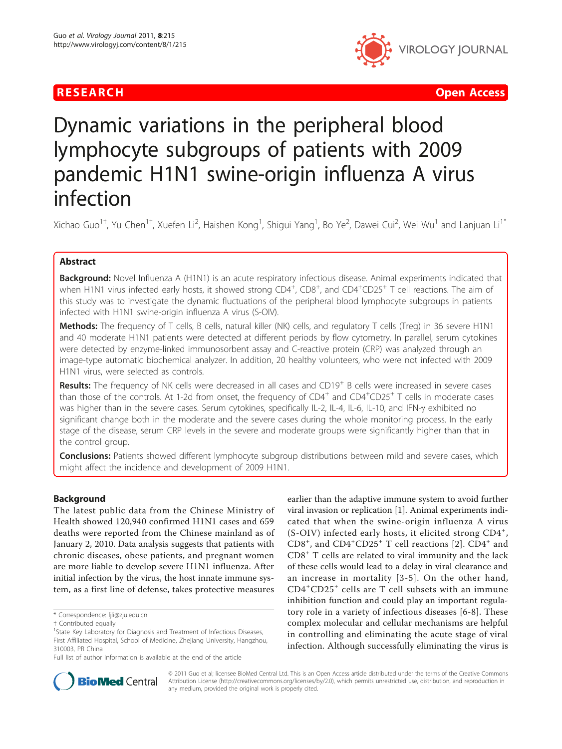

**RESEARCH Open Access Contract Contract Contract Contract Contract Contract Contract Contract Contract Contract Contract Contract Contract Contract Contract Contract Contract Contract Contract Contract Contract Contract** 

# Dynamic variations in the peripheral blood lymphocyte subgroups of patients with 2009 pandemic H1N1 swine-origin influenza A virus infection

Xichao Guo<sup>1†</sup>, Yu Chen<sup>1†</sup>, Xuefen Li<sup>2</sup>, Haishen Kong<sup>1</sup>, Shigui Yang<sup>1</sup>, Bo Ye<sup>2</sup>, Dawei Cui<sup>2</sup>, Wei Wu<sup>1</sup> and Lanjuan Li<sup>1\*</sup>

# Abstract

Background: Novel Influenza A (H1N1) is an acute respiratory infectious disease. Animal experiments indicated that when H1N1 virus infected early hosts, it showed strong CD4<sup>+</sup>, CD8<sup>+</sup>, and CD4<sup>+</sup>CD25<sup>+</sup> T cell reactions. The aim of this study was to investigate the dynamic fluctuations of the peripheral blood lymphocyte subgroups in patients infected with H1N1 swine-origin influenza A virus (S-OIV).

Methods: The frequency of T cells, B cells, natural killer (NK) cells, and regulatory T cells (Treg) in 36 severe H1N1 and 40 moderate H1N1 patients were detected at different periods by flow cytometry. In parallel, serum cytokines were detected by enzyme-linked immunosorbent assay and C-reactive protein (CRP) was analyzed through an image-type automatic biochemical analyzer. In addition, 20 healthy volunteers, who were not infected with 2009 H1N1 virus, were selected as controls.

Results: The frequency of NK cells were decreased in all cases and CD19<sup>+</sup> B cells were increased in severe cases than those of the controls. At 1-2d from onset, the frequency of CD4<sup>+</sup> and CD4<sup>+</sup>CD25<sup>+</sup> T cells in moderate cases was higher than in the severe cases. Serum cytokines, specifically IL-2, IL-4, IL-6, IL-10, and IFN-y exhibited no significant change both in the moderate and the severe cases during the whole monitoring process. In the early stage of the disease, serum CRP levels in the severe and moderate groups were significantly higher than that in the control group.

**Conclusions:** Patients showed different lymphocyte subgroup distributions between mild and severe cases, which might affect the incidence and development of 2009 H1N1.

# Background

The latest public data from the Chinese Ministry of Health showed 120,940 confirmed H1N1 cases and 659 deaths were reported from the Chinese mainland as of January 2, 2010. Data analysis suggests that patients with chronic diseases, obese patients, and pregnant women are more liable to develop severe H1N1 influenza. After initial infection by the virus, the host innate immune system, as a first line of defense, takes protective measures

earlier than the adaptive immune system to avoid further viral invasion or replication [[1\]](#page-5-0). Animal experiments indicated that when the swine-origin influenza A virus (S-OIV) infected early hosts, it elicited strong CD4<sup>+</sup>, CD8<sup>+</sup>, and CD4<sup>+</sup>CD[2](#page-5-0)5<sup>+</sup> T cell reactions [2]. CD4<sup>+</sup> and CD8<sup>+</sup> T cells are related to viral immunity and the lack of these cells would lead to a delay in viral clearance and an increase in mortality [[3-5](#page-5-0)]. On the other hand, CD4<sup>+</sup> CD25<sup>+</sup> cells are T cell subsets with an immune inhibition function and could play an important regulatory role in a variety of infectious diseases [[6-8\]](#page-5-0). These complex molecular and cellular mechanisms are helpful in controlling and eliminating the acute stage of viral infection. Although successfully eliminating the virus is



© 2011 Guo et al; licensee BioMed Central Ltd. This is an Open Access article distributed under the terms of the Creative Commons Attribution License [\(http://creativecommons.org/licenses/by/2.0](http://creativecommons.org/licenses/by/2.0)), which permits unrestricted use, distribution, and reproduction in any medium, provided the original work is properly cited.

<sup>\*</sup> Correspondence: [ljli@zju.edu.cn](mailto:ljli@zju.edu.cn)

<sup>†</sup> Contributed equally <sup>1</sup>

<sup>&</sup>lt;sup>1</sup>State Key Laboratory for Diagnosis and Treatment of Infectious Diseases, First Affiliated Hospital, School of Medicine, Zhejiang University, Hangzhou, 310003, PR China

Full list of author information is available at the end of the article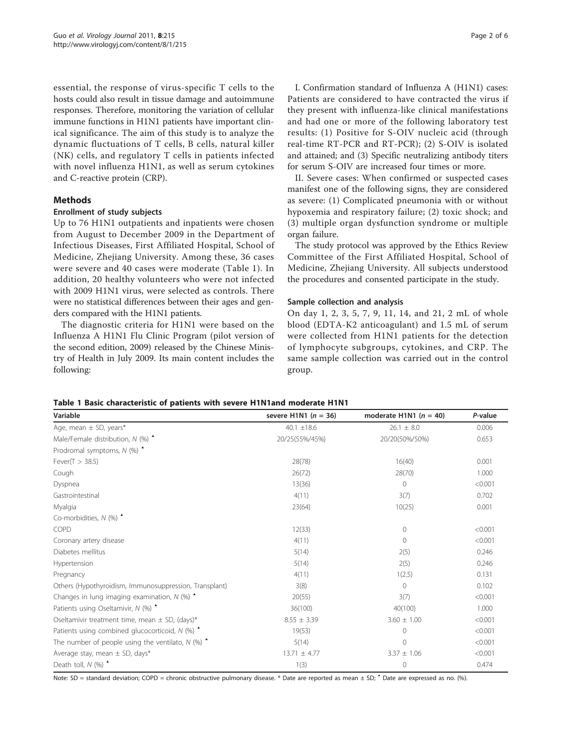<span id="page-1-0"></span>essential, the response of virus-specific T cells to the hosts could also result in tissue damage and autoimmune responses. Therefore, monitoring the variation of cellular immune functions in H1N1 patients have important clinical significance. The aim of this study is to analyze the dynamic fluctuations of T cells, B cells, natural killer (NK) cells, and regulatory T cells in patients infected with novel influenza H1N1, as well as serum cytokines and C-reactive protein (CRP).

# Methods

# Enrollment of study subjects

Up to 76 H1N1 outpatients and inpatients were chosen from August to December 2009 in the Department of Infectious Diseases, First Affiliated Hospital, School of Medicine, Zhejiang University. Among these, 36 cases were severe and 40 cases were moderate (Table 1). In addition, 20 healthy volunteers who were not infected with 2009 H1N1 virus, were selected as controls. There were no statistical differences between their ages and genders compared with the H1N1 patients.

The diagnostic criteria for H1N1 were based on the Influenza A H1N1 Flu Clinic Program (pilot version of the second edition, 2009) released by the Chinese Ministry of Health in July 2009. Its main content includes the following:

I. Confirmation standard of Influenza A (H1N1) cases: Patients are considered to have contracted the virus if they present with influenza-like clinical manifestations and had one or more of the following laboratory test results: (1) Positive for S-OIV nucleic acid (through real-time RT-PCR and RT-PCR); (2) S-OIV is isolated and attained; and (3) Specific neutralizing antibody titers for serum S-OIV are increased four times or more.

II. Severe cases: When confirmed or suspected cases manifest one of the following signs, they are considered as severe: (1) Complicated pneumonia with or without hypoxemia and respiratory failure; (2) toxic shock; and (3) multiple organ dysfunction syndrome or multiple organ failure.

The study protocol was approved by the Ethics Review Committee of the First Affiliated Hospital, School of Medicine, Zhejiang University. All subjects understood the procedures and consented participate in the study.

# Sample collection and analysis

On day 1, 2, 3, 5, 7, 9, 11, 14, and 21, 2 mL of whole blood (EDTA-K2 anticoagulant) and 1.5 mL of serum were collected from H1N1 patients for the detection of lymphocyte subgroups, cytokines, and CRP. The same sample collection was carried out in the control group.

|  |  |  | Table 1 Basic characteristic of patients with severe H1N1and moderate H1N1 |  |  |  |  |  |  |  |
|--|--|--|----------------------------------------------------------------------------|--|--|--|--|--|--|--|
|--|--|--|----------------------------------------------------------------------------|--|--|--|--|--|--|--|

| Variable                                                      | severe H1N1 $(n = 36)$ | moderate H1N1 $(n = 40)$ | P-value |
|---------------------------------------------------------------|------------------------|--------------------------|---------|
| Age, mean ± SD, years*                                        | 40.1 $\pm$ 18.6        | $26.1 \pm 8.0$           | 0.006   |
| Male/Female distribution, $N$ (%) $\triangle$                 | 20/25(55%/45%)         | 20/20(50%/50%)           | 0.653   |
| Prodromal symptoms, $N$ (%) $\triangle$                       |                        |                          |         |
| Fever( $T > 38.5$ )                                           | 28(78)                 | 16(40)                   | 0.001   |
| Cough                                                         | 26(72)                 | 28(70)                   | 1.000   |
| Dyspnea                                                       | 13(36)                 | $\overline{0}$           | < 0.001 |
| Gastrointestinal                                              | 4(11)                  | 3(7)                     | 0.702   |
| Myalgia                                                       | 23(64)                 | 10(25)                   | 0.001   |
| Co-morbidities, $N$ (%) $\triangle$                           |                        |                          |         |
| COPD                                                          | 12(33)                 | $\mathbf{0}$             | < 0.001 |
| Coronary artery disease                                       | 4(11)                  | $\mathbf{0}$             | < 0.001 |
| Diabetes mellitus                                             | 5(14)                  | 2(5)                     | 0.246   |
| Hypertension                                                  | 5(14)                  | 2(5)                     | 0.246   |
| Pregnancy                                                     | 4(11)                  | 1(2.5)                   | 0.131   |
| Others (Hypothyroidism, Immunosuppression, Transplant)        | 3(8)                   | $\Omega$                 | 0.102   |
| Changes in lung imaging examination, $N$ (%) $\triangle$      | 20(55)                 | 3(7)                     | < 0.001 |
| Patients using Oseltamivir, N (%)                             | 36(100)                | 40(100)                  | 1.000   |
| Oseltamivir treatment time, mean $\pm$ SD, (days)*            | $8.55 \pm 3.39$        | $3.60 \pm 1.00$          | < 0.001 |
| Patients using combined glucocorticoid, $N$ (%) $\triangle$   | 19(53)                 | $\Omega$                 | < 0.001 |
| The number of people using the ventilato, $N$ (%) $\triangle$ | 5(14)                  | $\Omega$                 | < 0.001 |
| Average stay, mean $\pm$ SD, days*                            | $13.71 \pm 4.77$       | $3.37 \pm 1.06$          | < 0.001 |
| Death toll, $N$ (%) $\triangle$                               | 1(3)                   | $\Omega$                 | 0.474   |

Note: SD = standard deviation; COPD = chronic obstructive pulmonary disease. \* Date are reported as mean ± SD;  $\triangle$  Date are expressed as no. (%).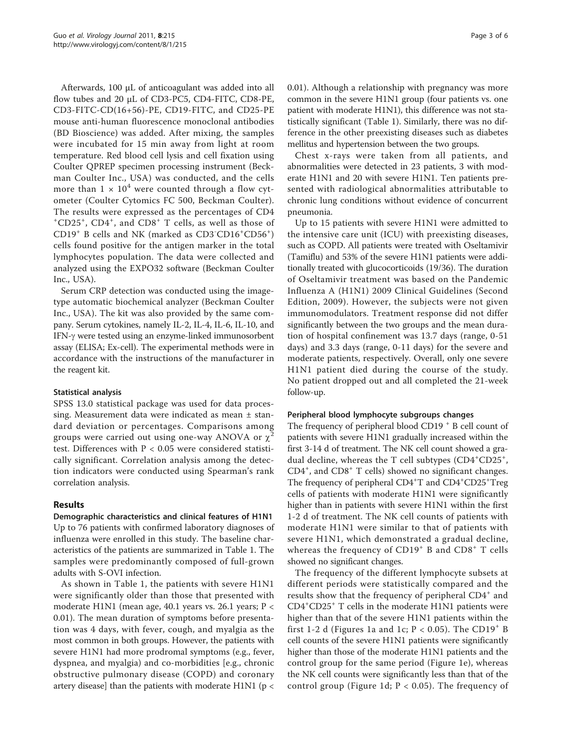Afterwards, 100 μL of anticoagulant was added into all flow tubes and 20 μL of CD3-PC5, CD4-FITC, CD8-PE, CD3-FITC-CD(16+56)-PE, CD19-FITC, and CD25-PE mouse anti-human fluorescence monoclonal antibodies (BD Bioscience) was added. After mixing, the samples were incubated for 15 min away from light at room temperature. Red blood cell lysis and cell fixation using Coulter QPREP specimen processing instrument (Beckman Coulter Inc., USA) was conducted, and the cells more than  $1 \times 10^4$  were counted through a flow cytometer (Coulter Cytomics FC 500, Beckman Coulter). The results were expressed as the percentages of CD4 + CD25<sup>+</sup> , CD4<sup>+</sup> , and CD8<sup>+</sup> T cells, as well as those of CD19<sup>+</sup> B cells and NK (marked as CD3<sup>-</sup>CD16<sup>+</sup>CD56<sup>+</sup>) cells found positive for the antigen marker in the total lymphocytes population. The data were collected and analyzed using the EXPO32 software (Beckman Coulter Inc., USA).

Serum CRP detection was conducted using the imagetype automatic biochemical analyzer (Beckman Coulter Inc., USA). The kit was also provided by the same company. Serum cytokines, namely IL-2, IL-4, IL-6, IL-10, and IFN-g were tested using an enzyme-linked immunosorbent assay (ELISA; Ex-cell). The experimental methods were in accordance with the instructions of the manufacturer in the reagent kit.

# Statistical analysis

SPSS 13.0 statistical package was used for data processing. Measurement data were indicated as mean ± standard deviation or percentages. Comparisons among groups were carried out using one-way ANOVA or  $\chi$ test. Differences with P < 0.05 were considered statistically significant. Correlation analysis among the detection indicators were conducted using Spearman's rank correlation analysis.

# Results

Demographic characteristics and clinical features of H1N1 Up to 76 patients with confirmed laboratory diagnoses of influenza were enrolled in this study. The baseline characteristics of the patients are summarized in Table [1](#page-1-0). The samples were predominantly composed of full-grown adults with S-OVI infection.

As shown in Table [1,](#page-1-0) the patients with severe H1N1 were significantly older than those that presented with moderate H1N1 (mean age, 40.1 years vs. 26.1 years; P < 0.01). The mean duration of symptoms before presentation was 4 days, with fever, cough, and myalgia as the most common in both groups. However, the patients with severe H1N1 had more prodromal symptoms (e.g., fever, dyspnea, and myalgia) and co-morbidities [e.g., chronic obstructive pulmonary disease (COPD) and coronary artery disease] than the patients with moderate H1N1 (p < 0.01). Although a relationship with pregnancy was more common in the severe H1N1 group (four patients vs. one patient with moderate H1N1), this difference was not statistically significant (Table [1\)](#page-1-0). Similarly, there was no difference in the other preexisting diseases such as diabetes mellitus and hypertension between the two groups.

Chest x-rays were taken from all patients, and abnormalities were detected in 23 patients, 3 with moderate H1N1 and 20 with severe H1N1. Ten patients presented with radiological abnormalities attributable to chronic lung conditions without evidence of concurrent pneumonia.

Up to 15 patients with severe H1N1 were admitted to the intensive care unit (ICU) with preexisting diseases, such as COPD. All patients were treated with Oseltamivir (Tamiflu) and 53% of the severe H1N1 patients were additionally treated with glucocorticoids (19/36). The duration of Oseltamivir treatment was based on the Pandemic Influenza A (H1N1) 2009 Clinical Guidelines (Second Edition, 2009). However, the subjects were not given immunomodulators. Treatment response did not differ significantly between the two groups and the mean duration of hospital confinement was 13.7 days (range, 0-51 days) and 3.3 days (range, 0-11 days) for the severe and moderate patients, respectively. Overall, only one severe H1N1 patient died during the course of the study. No patient dropped out and all completed the 21-week follow-up.

#### Peripheral blood lymphocyte subgroups changes

The frequency of peripheral blood CD19<sup>+</sup> B cell count of patients with severe H1N1 gradually increased within the first 3-14 d of treatment. The NK cell count showed a gradual decline, whereas the T cell subtypes (CD4+CD25+, CD4<sup>+</sup> , and CD8<sup>+</sup> T cells) showed no significant changes. The frequency of peripheral CD4<sup>+</sup>T and CD4<sup>+</sup>CD25<sup>+</sup>Treg cells of patients with moderate H1N1 were significantly higher than in patients with severe H1N1 within the first 1-2 d of treatment. The NK cell counts of patients with moderate H1N1 were similar to that of patients with severe H1N1, which demonstrated a gradual decline, whereas the frequency of  $CD19<sup>+</sup>$  B and  $CD8<sup>+</sup>$  T cells showed no significant changes.

The frequency of the different lymphocyte subsets at different periods were statistically compared and the results show that the frequency of peripheral CD4<sup>+</sup> and CD4+ CD25<sup>+</sup> T cells in the moderate H1N1 patients were higher than that of the severe H1N1 patients within the first 1-2 d (Figures [1a](#page-3-0) and [1c;](#page-3-0)  $P < 0.05$ ). The CD19<sup>+</sup> B cell counts of the severe H1N1 patients were significantly higher than those of the moderate H1N1 patients and the control group for the same period (Figure [1e\)](#page-3-0), whereas the NK cell counts were significantly less than that of the control group (Figure [1d](#page-3-0);  $P < 0.05$ ). The frequency of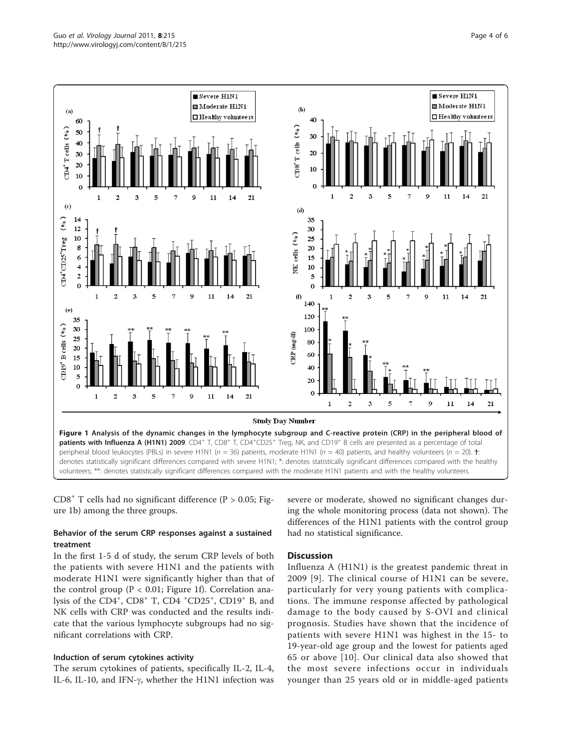<span id="page-3-0"></span>

 $CD8<sup>+</sup>$  T cells had no significant difference (P > 0.05; Figure 1b) among the three groups.

# Behavior of the serum CRP responses against a sustained treatment

In the first 1-5 d of study, the serum CRP levels of both the patients with severe H1N1 and the patients with moderate H1N1 were significantly higher than that of the control group (P < 0.01; Figure 1f). Correlation analysis of the CD4<sup>+</sup>, CD8<sup>+</sup> T, CD4<sup>+</sup>CD25<sup>+</sup>, CD19<sup>+</sup> B, and NK cells with CRP was conducted and the results indicate that the various lymphocyte subgroups had no significant correlations with CRP.

# Induction of serum cytokines activity

The serum cytokines of patients, specifically IL-2, IL-4, IL-6, IL-10, and IFN- $\gamma$ , whether the H1N1 infection was severe or moderate, showed no significant changes during the whole monitoring process (data not shown). The differences of the H1N1 patients with the control group had no statistical significance.

# **Discussion**

Influenza A (H1N1) is the greatest pandemic threat in 2009 [[9\]](#page-5-0). The clinical course of H1N1 can be severe, particularly for very young patients with complications. The immune response affected by pathological damage to the body caused by S-OVI and clinical prognosis. Studies have shown that the incidence of patients with severe H1N1 was highest in the 15- to 19-year-old age group and the lowest for patients aged 65 or above [[10](#page-5-0)]. Our clinical data also showed that the most severe infections occur in individuals younger than 25 years old or in middle-aged patients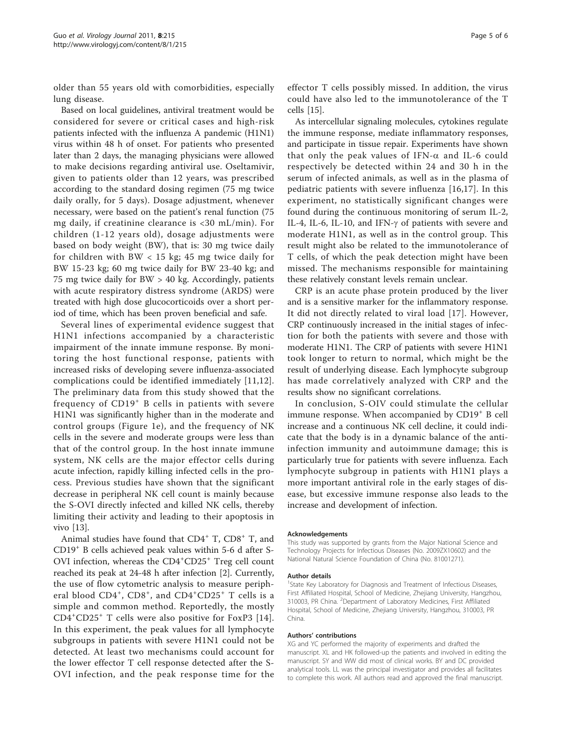older than 55 years old with comorbidities, especially lung disease.

Based on local guidelines, antiviral treatment would be considered for severe or critical cases and high-risk patients infected with the influenza A pandemic (H1N1) virus within 48 h of onset. For patients who presented later than 2 days, the managing physicians were allowed to make decisions regarding antiviral use. Oseltamivir, given to patients older than 12 years, was prescribed according to the standard dosing regimen (75 mg twice daily orally, for 5 days). Dosage adjustment, whenever necessary, were based on the patient's renal function (75 mg daily, if creatinine clearance is <30 mL/min). For children (1-12 years old), dosage adjustments were based on body weight (BW), that is: 30 mg twice daily for children with BW  $<$  15 kg; 45 mg twice daily for BW 15-23 kg; 60 mg twice daily for BW 23-40 kg; and 75 mg twice daily for BW > 40 kg. Accordingly, patients with acute respiratory distress syndrome (ARDS) were treated with high dose glucocorticoids over a short period of time, which has been proven beneficial and safe.

Several lines of experimental evidence suggest that H1N1 infections accompanied by a characteristic impairment of the innate immune response. By monitoring the host functional response, patients with increased risks of developing severe influenza-associated complications could be identified immediately [\[11,12](#page-5-0)]. The preliminary data from this study showed that the frequency of CD19<sup>+</sup> B cells in patients with severe H1N1 was significantly higher than in the moderate and control groups (Figure [1e](#page-3-0)), and the frequency of NK cells in the severe and moderate groups were less than that of the control group. In the host innate immune system, NK cells are the major effector cells during acute infection, rapidly killing infected cells in the process. Previous studies have shown that the significant decrease in peripheral NK cell count is mainly because the S-OVI directly infected and killed NK cells, thereby limiting their activity and leading to their apoptosis in vivo [[13](#page-5-0)].

Animal studies have found that  $CD4^+$  T,  $CD8^+$  T, and  $CD19<sup>+</sup>$  B cells achieved peak values within 5-6 d after S-OVI infection, whereas the CD4<sup>+</sup>CD25<sup>+</sup> Treg cell count reached its peak at 24-48 h after infection [[2\]](#page-5-0). Currently, the use of flow cytometric analysis to measure peripheral blood CD4<sup>+</sup>, CD8<sup>+</sup>, and CD4<sup>+</sup>CD25<sup>+</sup> T cells is a simple and common method. Reportedly, the mostly CD4<sup>+</sup> CD25<sup>+</sup> T cells were also positive for FoxP3 [[14](#page-5-0)]. In this experiment, the peak values for all lymphocyte subgroups in patients with severe H1N1 could not be detected. At least two mechanisms could account for the lower effector T cell response detected after the S-OVI infection, and the peak response time for the

effector T cells possibly missed. In addition, the virus could have also led to the immunotolerance of the T cells [[15](#page-5-0)].

As intercellular signaling molecules, cytokines regulate the immune response, mediate inflammatory responses, and participate in tissue repair. Experiments have shown that only the peak values of IFN- $\alpha$  and IL-6 could respectively be detected within 24 and 30 h in the serum of infected animals, as well as in the plasma of pediatric patients with severe influenza [[16](#page-5-0),[17\]](#page-5-0). In this experiment, no statistically significant changes were found during the continuous monitoring of serum IL-2, IL-4, IL-6, IL-10, and IFN- $\gamma$  of patients with severe and moderate H1N1, as well as in the control group. This result might also be related to the immunotolerance of T cells, of which the peak detection might have been missed. The mechanisms responsible for maintaining these relatively constant levels remain unclear.

CRP is an acute phase protein produced by the liver and is a sensitive marker for the inflammatory response. It did not directly related to viral load [[17](#page-5-0)]. However, CRP continuously increased in the initial stages of infection for both the patients with severe and those with moderate H1N1. The CRP of patients with severe H1N1 took longer to return to normal, which might be the result of underlying disease. Each lymphocyte subgroup has made correlatively analyzed with CRP and the results show no significant correlations.

In conclusion, S-OIV could stimulate the cellular immune response. When accompanied by CD19<sup>+</sup> B cell increase and a continuous NK cell decline, it could indicate that the body is in a dynamic balance of the antiinfection immunity and autoimmune damage; this is particularly true for patients with severe influenza. Each lymphocyte subgroup in patients with H1N1 plays a more important antiviral role in the early stages of disease, but excessive immune response also leads to the increase and development of infection.

#### Acknowledgements

This study was supported by grants from the Major National Science and Technology Projects for Infectious Diseases (No. 2009ZX10602) and the National Natural Science Foundation of China (No. 81001271).

#### Author details

<sup>1</sup>State Key Laboratory for Diagnosis and Treatment of Infectious Diseases, First Affiliated Hospital, School of Medicine, Zhejiang University, Hangzhou, 310003, PR China. <sup>2</sup> Department of Laboratory Medicines, First Affiliated Hospital, School of Medicine, Zhejiang University, Hangzhou, 310003, PR China.

#### Authors' contributions

XG and YC performed the majority of experiments and drafted the manuscript. XL and HK followed-up the patients and involved in editing the manuscript. SY and WW did most of clinical works. BY and DC provided analytical tools. LL was the principal investigator and provides all facilitates to complete this work. All authors read and approved the final manuscript.